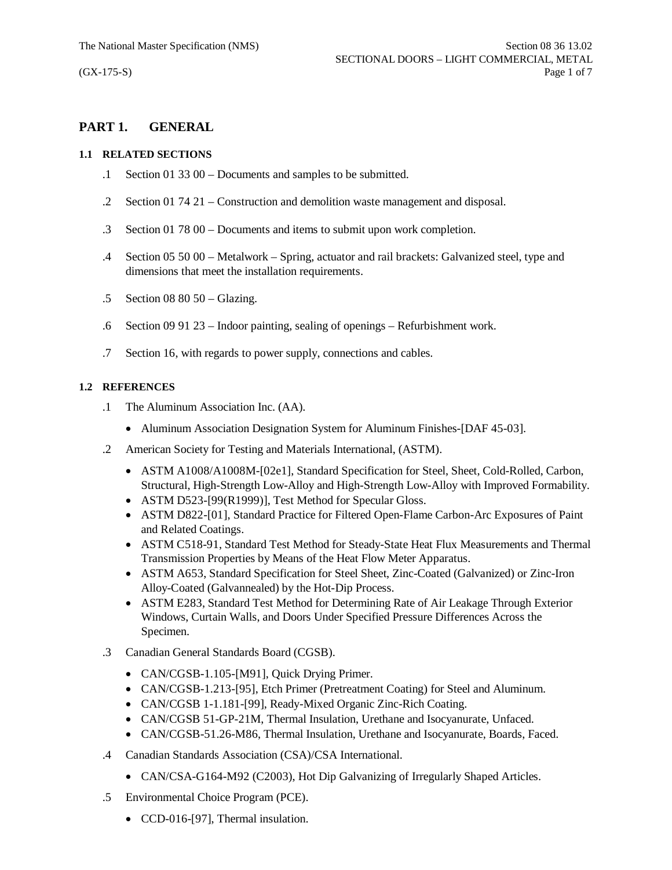# **PART 1. GENERAL**

## **1.1 RELATED SECTIONS**

- .1 Section 01 33 00 Documents and samples to be submitted.
- .2 Section 01 74 21 Construction and demolition waste management and disposal.
- .3 Section 01 78 00 Documents and items to submit upon work completion.
- .4 Section 05 50 00 Metalwork Spring, actuator and rail brackets: Galvanized steel, type and dimensions that meet the installation requirements.
- .5 Section 08 80 50 Glazing.
- .6 Section 09 91 23 Indoor painting, sealing of openings Refurbishment work.
- .7 Section 16, with regards to power supply, connections and cables.

## **1.2 REFERENCES**

- .1 The Aluminum Association Inc. (AA).
	- Aluminum Association Designation System for Aluminum Finishes-[DAF 45-03].
- .2 American Society for Testing and Materials International, (ASTM).
	- · ASTM A1008/A1008M-[02e1], Standard Specification for Steel, Sheet, Cold-Rolled, Carbon, Structural, High-Strength Low-Alloy and High-Strength Low-Alloy with Improved Formability.
	- ASTM D523-[99(R1999)], Test Method for Specular Gloss.
	- · ASTM D822-[01], Standard Practice for Filtered Open-Flame Carbon-Arc Exposures of Paint and Related Coatings.
	- · ASTM C518-91, Standard Test Method for Steady-State Heat Flux Measurements and Thermal Transmission Properties by Means of the Heat Flow Meter Apparatus.
	- · ASTM A653, Standard Specification for Steel Sheet, Zinc-Coated (Galvanized) or Zinc-Iron Alloy-Coated (Galvannealed) by the Hot-Dip Process.
	- · ASTM E283, Standard Test Method for Determining Rate of Air Leakage Through Exterior Windows, Curtain Walls, and Doors Under Specified Pressure Differences Across the Specimen.
- .3 Canadian General Standards Board (CGSB).
	- CAN/CGSB-1.105-[M91], Quick Drying Primer.
	- · CAN/CGSB-1.213-[95], Etch Primer (Pretreatment Coating) for Steel and Aluminum.
	- · CAN/CGSB 1-1.181-[99], Ready-Mixed Organic Zinc-Rich Coating.
	- · CAN/CGSB 51-GP-21M, Thermal Insulation, Urethane and Isocyanurate, Unfaced.
	- · CAN/CGSB-51.26-M86, Thermal Insulation, Urethane and Isocyanurate, Boards, Faced.
- .4 Canadian Standards Association (CSA)/CSA International.
	- CAN/CSA-G164-M92 (C2003), Hot Dip Galvanizing of Irregularly Shaped Articles.
- .5 Environmental Choice Program (PCE).
	- CCD-016-[97], Thermal insulation.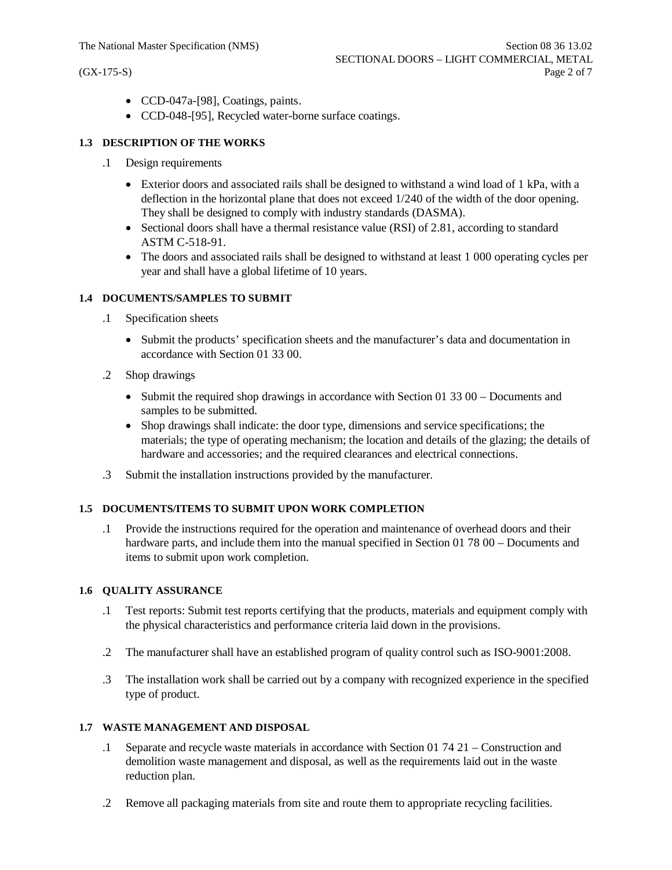- · CCD-047a-[98], Coatings, paints.
- · CCD-048-[95], Recycled water-borne surface coatings.

## **1.3 DESCRIPTION OF THE WORKS**

- .1 Design requirements
	- Exterior doors and associated rails shall be designed to withstand a wind load of 1 kPa, with a deflection in the horizontal plane that does not exceed 1/240 of the width of the door opening. They shall be designed to comply with industry standards (DASMA).
	- Sectional doors shall have a thermal resistance value (RSI) of 2.81, according to standard ASTM C-518-91.
	- The doors and associated rails shall be designed to withstand at least 1 000 operating cycles per year and shall have a global lifetime of 10 years.

### **1.4 DOCUMENTS/SAMPLES TO SUBMIT**

- .1 Specification sheets
	- · Submit the products' specification sheets and the manufacturer's data and documentation in accordance with Section 01 33 00.
- .2 Shop drawings
	- Submit the required shop drawings in accordance with Section 01 33 00 Documents and samples to be submitted.
	- · Shop drawings shall indicate: the door type, dimensions and service specifications; the materials; the type of operating mechanism; the location and details of the glazing; the details of hardware and accessories; and the required clearances and electrical connections.
- .3 Submit the installation instructions provided by the manufacturer.

## **1.5 DOCUMENTS/ITEMS TO SUBMIT UPON WORK COMPLETION**

.1 Provide the instructions required for the operation and maintenance of overhead doors and their hardware parts, and include them into the manual specified in Section 01 78 00 – Documents and items to submit upon work completion.

#### **1.6 QUALITY ASSURANCE**

- .1 Test reports: Submit test reports certifying that the products, materials and equipment comply with the physical characteristics and performance criteria laid down in the provisions.
- .2 The manufacturer shall have an established program of quality control such as ISO-9001:2008.
- .3 The installation work shall be carried out by a company with recognized experience in the specified type of product.

### **1.7 WASTE MANAGEMENT AND DISPOSAL**

- .1 Separate and recycle waste materials in accordance with Section 01 74 21 Construction and demolition waste management and disposal, as well as the requirements laid out in the waste reduction plan.
- .2 Remove all packaging materials from site and route them to appropriate recycling facilities.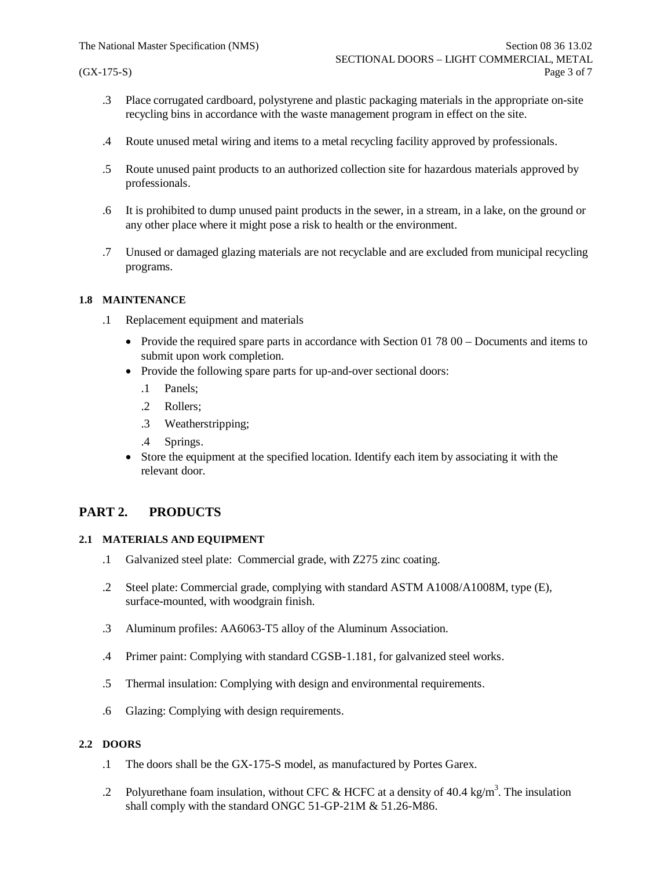- .3 Place corrugated cardboard, polystyrene and plastic packaging materials in the appropriate on-site recycling bins in accordance with the waste management program in effect on the site.
- .4 Route unused metal wiring and items to a metal recycling facility approved by professionals.
- .5 Route unused paint products to an authorized collection site for hazardous materials approved by professionals.
- .6 It is prohibited to dump unused paint products in the sewer, in a stream, in a lake, on the ground or any other place where it might pose a risk to health or the environment.
- .7 Unused or damaged glazing materials are not recyclable and are excluded from municipal recycling programs.

### **1.8 MAINTENANCE**

- .1 Replacement equipment and materials
	- Provide the required spare parts in accordance with Section 01 78 00 Documents and items to submit upon work completion.
	- Provide the following spare parts for up-and-over sectional doors:
		- .1 Panels;
		- .2 Rollers;
		- .3 Weatherstripping;
		- .4 Springs.
	- Store the equipment at the specified location. Identify each item by associating it with the relevant door.

## **PART 2. PRODUCTS**

## **2.1 MATERIALS AND EQUIPMENT**

- .1 Galvanized steel plate: Commercial grade, with Z275 zinc coating.
- .2 Steel plate: Commercial grade, complying with standard ASTM A1008/A1008M, type (E), surface-mounted, with woodgrain finish.
- .3 Aluminum profiles: AA6063-T5 alloy of the Aluminum Association.
- .4 Primer paint: Complying with standard CGSB-1.181, for galvanized steel works.
- .5 Thermal insulation: Complying with design and environmental requirements.
- .6 Glazing: Complying with design requirements.

## **2.2 DOORS**

- .1 The doors shall be the GX-175-S model, as manufactured by Portes Garex.
- .2 Polyurethane foam insulation, without CFC & HCFC at a density of 40.4 kg/m<sup>3</sup>. The insulation shall comply with the standard ONGC 51-GP-21M & 51.26-M86.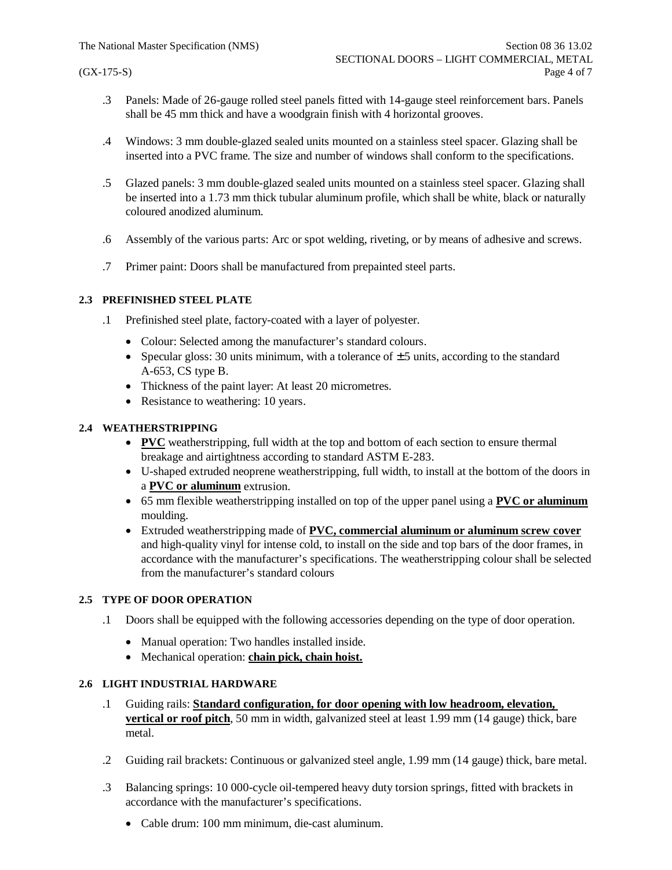- .3 Panels: Made of 26-gauge rolled steel panels fitted with 14-gauge steel reinforcement bars. Panels shall be 45 mm thick and have a woodgrain finish with 4 horizontal grooves.
- .4 Windows: 3 mm double-glazed sealed units mounted on a stainless steel spacer. Glazing shall be inserted into a PVC frame. The size and number of windows shall conform to the specifications.
- .5 Glazed panels: 3 mm double-glazed sealed units mounted on a stainless steel spacer. Glazing shall be inserted into a 1.73 mm thick tubular aluminum profile, which shall be white, black or naturally coloured anodized aluminum.
- .6 Assembly of the various parts: Arc or spot welding, riveting, or by means of adhesive and screws.
- .7 Primer paint: Doors shall be manufactured from prepainted steel parts.

## **2.3 PREFINISHED STEEL PLATE**

- .1 Prefinished steel plate, factory-coated with a layer of polyester.
	- Colour: Selected among the manufacturer's standard colours.
	- Specular gloss: 30 units minimum, with a tolerance of  $\pm$  5 units, according to the standard A-653, CS type B.
	- · Thickness of the paint layer: At least 20 micrometres.
	- Resistance to weathering: 10 years.

## **2.4 WEATHERSTRIPPING**

- · **PVC** weatherstripping, full width at the top and bottom of each section to ensure thermal breakage and airtightness according to standard ASTM E-283.
- · U-shaped extruded neoprene weatherstripping, full width, to install at the bottom of the doors in a **PVC or aluminum** extrusion.
- · 65 mm flexible weatherstripping installed on top of the upper panel using a **PVC or aluminum** moulding.
- · Extruded weatherstripping made of **PVC, commercial aluminum or aluminum screw cover** and high-quality vinyl for intense cold, to install on the side and top bars of the door frames, in accordance with the manufacturer's specifications. The weatherstripping colour shall be selected from the manufacturer's standard colours

## **2.5 TYPE OF DOOR OPERATION**

- .1 Doors shall be equipped with the following accessories depending on the type of door operation.
	- · Manual operation: Two handles installed inside.
	- · Mechanical operation: **chain pick, chain hoist.**

## **2.6 LIGHT INDUSTRIAL HARDWARE**

- .1 Guiding rails: **Standard configuration, for door opening with low headroom, elevation, vertical or roof pitch**, 50 mm in width, galvanized steel at least 1.99 mm (14 gauge) thick, bare metal.
- .2 Guiding rail brackets: Continuous or galvanized steel angle, 1.99 mm (14 gauge) thick, bare metal.
- .3 Balancing springs: 10 000-cycle oil-tempered heavy duty torsion springs, fitted with brackets in accordance with the manufacturer's specifications.
	- · Cable drum: 100 mm minimum, die-cast aluminum.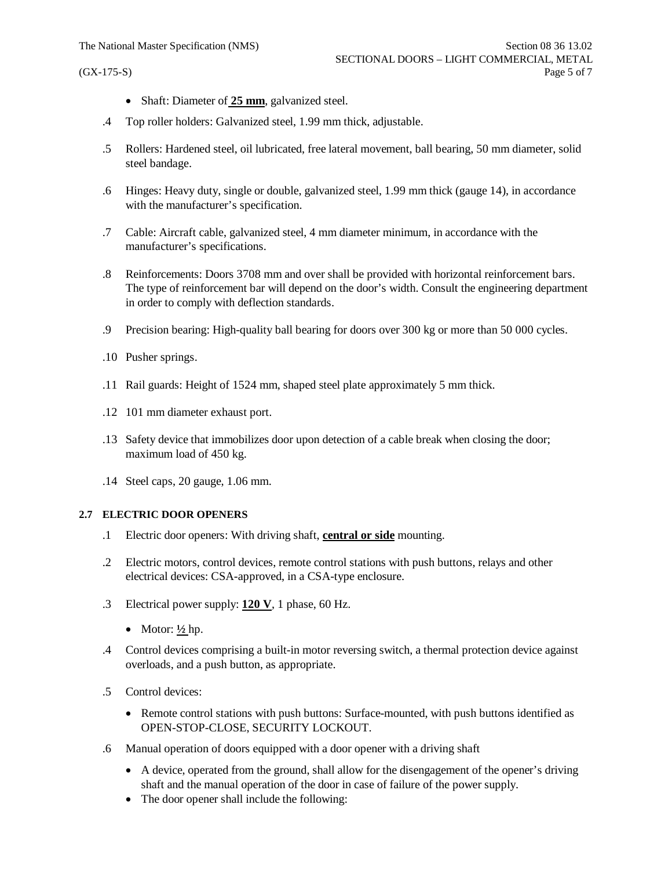- · Shaft: Diameter of **25 mm**, galvanized steel.
- .4 Top roller holders: Galvanized steel, 1.99 mm thick, adjustable.
- .5 Rollers: Hardened steel, oil lubricated, free lateral movement, ball bearing, 50 mm diameter, solid steel bandage.
- .6 Hinges: Heavy duty, single or double, galvanized steel, 1.99 mm thick (gauge 14), in accordance with the manufacturer's specification.
- .7 Cable: Aircraft cable, galvanized steel, 4 mm diameter minimum, in accordance with the manufacturer's specifications.
- .8 Reinforcements: Doors 3708 mm and over shall be provided with horizontal reinforcement bars. The type of reinforcement bar will depend on the door's width. Consult the engineering department in order to comply with deflection standards.
- .9 Precision bearing: High-quality ball bearing for doors over 300 kg or more than 50 000 cycles.
- .10 Pusher springs.
- .11 Rail guards: Height of 1524 mm, shaped steel plate approximately 5 mm thick.
- .12 101 mm diameter exhaust port.
- .13 Safety device that immobilizes door upon detection of a cable break when closing the door; maximum load of 450 kg.
- .14 Steel caps, 20 gauge, 1.06 mm.

## **2.7 ELECTRIC DOOR OPENERS**

- .1 Electric door openers: With driving shaft, **central or side** mounting.
- .2 Electric motors, control devices, remote control stations with push buttons, relays and other electrical devices: CSA-approved, in a CSA-type enclosure.
- .3 Electrical power supply: **120 V**, 1 phase, 60 Hz.
	- Motor:  $\frac{1}{2}$  hp.
- .4 Control devices comprising a built-in motor reversing switch, a thermal protection device against overloads, and a push button, as appropriate.
- .5 Control devices:
	- Remote control stations with push buttons: Surface-mounted, with push buttons identified as OPEN-STOP-CLOSE, SECURITY LOCKOUT.
- .6 Manual operation of doors equipped with a door opener with a driving shaft
	- · A device, operated from the ground, shall allow for the disengagement of the opener's driving shaft and the manual operation of the door in case of failure of the power supply.
	- The door opener shall include the following: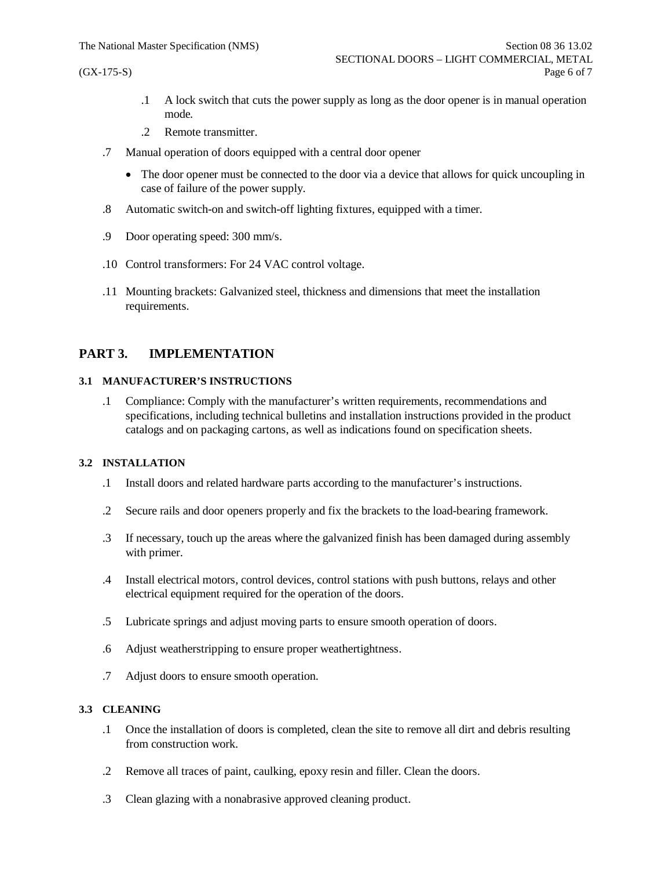- .1 A lock switch that cuts the power supply as long as the door opener is in manual operation mode.
- .2 Remote transmitter.
- .7 Manual operation of doors equipped with a central door opener
	- The door opener must be connected to the door via a device that allows for quick uncoupling in case of failure of the power supply.
- .8 Automatic switch-on and switch-off lighting fixtures, equipped with a timer.
- .9 Door operating speed: 300 mm/s.
- .10 Control transformers: For 24 VAC control voltage.
- .11 Mounting brackets: Galvanized steel, thickness and dimensions that meet the installation requirements.

## **PART 3. IMPLEMENTATION**

## **3.1 MANUFACTURER'S INSTRUCTIONS**

.1 Compliance: Comply with the manufacturer's written requirements, recommendations and specifications, including technical bulletins and installation instructions provided in the product catalogs and on packaging cartons, as well as indications found on specification sheets.

#### **3.2 INSTALLATION**

- .1 Install doors and related hardware parts according to the manufacturer's instructions.
- .2 Secure rails and door openers properly and fix the brackets to the load-bearing framework.
- .3 If necessary, touch up the areas where the galvanized finish has been damaged during assembly with primer.
- .4 Install electrical motors, control devices, control stations with push buttons, relays and other electrical equipment required for the operation of the doors.
- .5 Lubricate springs and adjust moving parts to ensure smooth operation of doors.
- .6 Adjust weatherstripping to ensure proper weathertightness.
- .7 Adjust doors to ensure smooth operation.

#### **3.3 CLEANING**

- .1 Once the installation of doors is completed, clean the site to remove all dirt and debris resulting from construction work.
- .2 Remove all traces of paint, caulking, epoxy resin and filler. Clean the doors.
- .3 Clean glazing with a nonabrasive approved cleaning product.